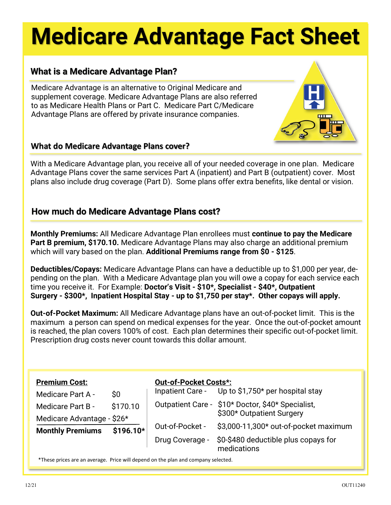# **Medicare Advantage Fact Sheet**

### **What is a Medicare Advantage Plan?**

Medicare Advantage is an alternative to Original Medicare and supplement coverage. Medicare Advantage Plans are also referred to as Medicare Health Plans or Part C. Medicare Part C/Medicare Advantage Plans are offered by private insurance companies.

#### **What do Medicare Advantage Plans cover?**

With a Medicare Advantage plan, you receive all of your needed coverage in one plan. Medicare Advantage Plans cover the same services Part A (inpatient) and Part B (outpatient) cover. Most plans also include drug coverage (Part D). Some plans offer extra benefits, like dental or vision.

#### **How much do Medicare Advantage Plans cost?**

**Monthly Premiums:** All Medicare Advantage Plan enrollees must **continue to pay the Medicare Part B premium, \$170.10.** Medicare Advantage Plans may also charge an additional premium which will vary based on the plan. **Additional Premiums range from \$0 - \$125**.

**Deductibles/Copays:** Medicare Advantage Plans can have a deductible up to \$1,000 per year, depending on the plan. With a Medicare Advantage plan you will owe a copay for each service each time you receive it. For Example: **Doctor's Visit - \$10\*, Specialist - \$40\*, Outpatient Surgery - \$300\*, Inpatient Hospital Stay - up to \$1,750 per stay\*. Other copays will apply.**

**Out-of-Pocket Maximum:** All Medicare Advantage plans have an out-of-pocket limit. This is the maximum a person can spend on medical expenses for the year. Once the out-of-pocket amount is reached, the plan covers 100% of cost. Each plan determines their specific out-of-pocket limit. Prescription drug costs never count towards this dollar amount.

| <b>Premium Cost:</b><br><b>Medicare Part A -</b>      | $\boldsymbol{\mathsf{S}}\boldsymbol{\mathsf{0}}$ | <b>Out-of-Pocket Costs*:</b> | Inpatient Care - Up to \$1,750* per hospital stay                              |
|-------------------------------------------------------|--------------------------------------------------|------------------------------|--------------------------------------------------------------------------------|
| <b>Medicare Part B -</b>                              | \$170.10<br>\$196.10*                            |                              | Outpatient Care - \$10* Doctor, \$40* Specialist,<br>\$300* Outpatient Surgery |
| Medicare Advantage - \$26*<br><b>Monthly Premiums</b> |                                                  | Out-of-Pocket -              | \$3,000-11,300* out-of-pocket maximum                                          |
|                                                       |                                                  | Drug Coverage -              | \$0-\$480 deductible plus copays for<br>medications                            |

\*These prices are an average. Price will depend on the plan and company selected.